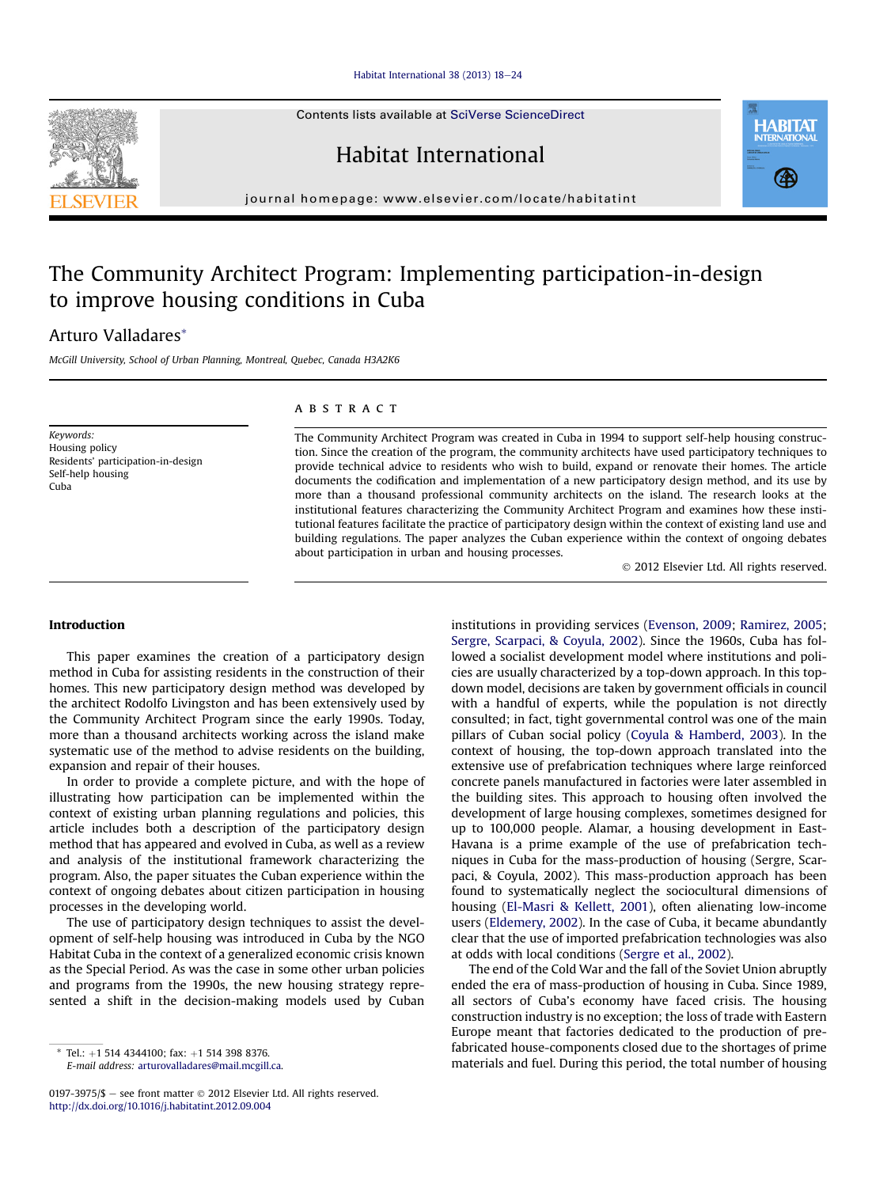#### [Habitat International 38 \(2013\) 18](http://dx.doi.org/10.1016/j.habitatint.2012.09.004)-[24](http://dx.doi.org/10.1016/j.habitatint.2012.09.004)

Contents lists available at SciVerse ScienceDirect

Habitat International



journal homepage: [www.elsevier.com/locate/habitatint](http://www.elsevier.com/locate/habitatint)

## The Community Architect Program: Implementing participation-in-design to improve housing conditions in Cuba

### Arturo Valladares\*

McGill University, School of Urban Planning, Montreal, Quebec, Canada H3A2K6

Keywords: Housing policy Residents' participation-in-design Self-help housing Cuba

#### **ABSTRACT**

The Community Architect Program was created in Cuba in 1994 to support self-help housing construction. Since the creation of the program, the community architects have used participatory techniques to provide technical advice to residents who wish to build, expand or renovate their homes. The article documents the codification and implementation of a new participatory design method, and its use by more than a thousand professional community architects on the island. The research looks at the institutional features characterizing the Community Architect Program and examines how these institutional features facilitate the practice of participatory design within the context of existing land use and building regulations. The paper analyzes the Cuban experience within the context of ongoing debates about participation in urban and housing processes.

2012 Elsevier Ltd. All rights reserved.

#### Introduction

This paper examines the creation of a participatory design method in Cuba for assisting residents in the construction of their homes. This new participatory design method was developed by the architect Rodolfo Livingston and has been extensively used by the Community Architect Program since the early 1990s. Today, more than a thousand architects working across the island make systematic use of the method to advise residents on the building, expansion and repair of their houses.

In order to provide a complete picture, and with the hope of illustrating how participation can be implemented within the context of existing urban planning regulations and policies, this article includes both a description of the participatory design method that has appeared and evolved in Cuba, as well as a review and analysis of the institutional framework characterizing the program. Also, the paper situates the Cuban experience within the context of ongoing debates about citizen participation in housing processes in the developing world.

The use of participatory design techniques to assist the development of self-help housing was introduced in Cuba by the NGO Habitat Cuba in the context of a generalized economic crisis known as the Special Period. As was the case in some other urban policies and programs from the 1990s, the new housing strategy represented a shift in the decision-making models used by Cuban

0197-3975/\$  $-$  see front matter  $\odot$  2012 Elsevier Ltd. All rights reserved. <http://dx.doi.org/10.1016/j.habitatint.2012.09.004>

institutions in providing services (Evenson, 2009; Ramirez, 2005; Sergre, Scarpaci, & Coyula, 2002). Since the 1960s, Cuba has followed a socialist development model where institutions and policies are usually characterized by a top-down approach. In this topdown model, decisions are taken by government officials in council with a handful of experts, while the population is not directly consulted; in fact, tight governmental control was one of the main pillars of Cuban social policy (Coyula & Hamberd, 2003). In the context of housing, the top-down approach translated into the extensive use of prefabrication techniques where large reinforced concrete panels manufactured in factories were later assembled in the building sites. This approach to housing often involved the development of large housing complexes, sometimes designed for up to 100,000 people. Alamar, a housing development in East-Havana is a prime example of the use of prefabrication techniques in Cuba for the mass-production of housing (Sergre, Scarpaci, & Coyula, 2002). This mass-production approach has been found to systematically neglect the sociocultural dimensions of housing (El-Masri & Kellett, 2001), often alienating low-income users (Eldemery, 2002). In the case of Cuba, it became abundantly clear that the use of imported prefabrication technologies was also at odds with local conditions (Sergre et al., 2002).

The end of the Cold War and the fall of the Soviet Union abruptly ended the era of mass-production of housing in Cuba. Since 1989, all sectors of Cuba's economy have faced crisis. The housing construction industry is no exception; the loss of trade with Eastern Europe meant that factories dedicated to the production of prefabricated house-components closed due to the shortages of prime materials and fuel to the shortages of prime<br>E-mail address: arturovalladares@mail.mcgill.ca. Tel. but and fuel. During this period, the total number of housing



E-mail address: [arturovalladares@mail.mcgill.ca.](mailto:arturovalladares@mail.mcgill.ca)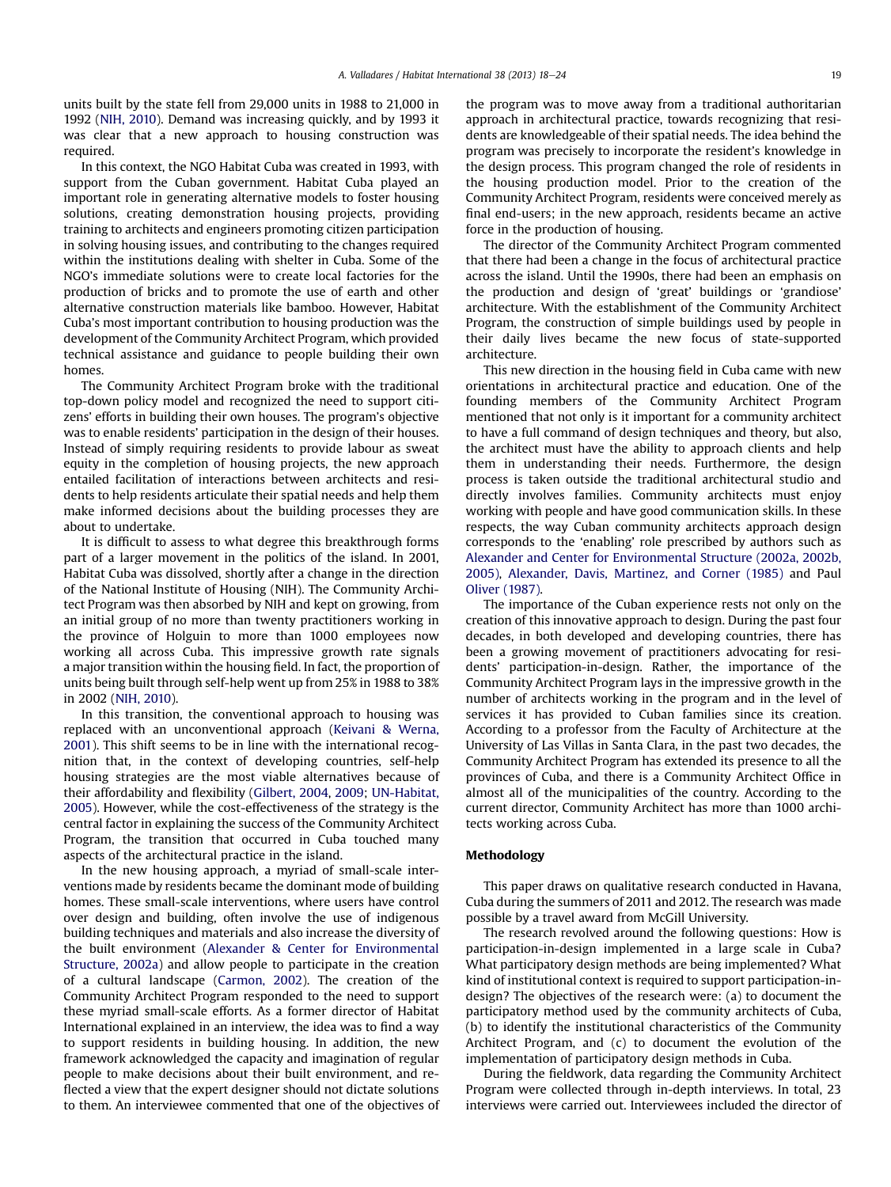units built by the state fell from 29,000 units in 1988 to 21,000 in 1992 (NIH, 2010). Demand was increasing quickly, and by 1993 it was clear that a new approach to housing construction was required.

In this context, the NGO Habitat Cuba was created in 1993, with support from the Cuban government. Habitat Cuba played an important role in generating alternative models to foster housing solutions, creating demonstration housing projects, providing training to architects and engineers promoting citizen participation in solving housing issues, and contributing to the changes required within the institutions dealing with shelter in Cuba. Some of the NGO's immediate solutions were to create local factories for the production of bricks and to promote the use of earth and other alternative construction materials like bamboo. However, Habitat Cuba's most important contribution to housing production was the development of the Community Architect Program, which provided technical assistance and guidance to people building their own homes.

The Community Architect Program broke with the traditional top-down policy model and recognized the need to support citizens' efforts in building their own houses. The program's objective was to enable residents' participation in the design of their houses. Instead of simply requiring residents to provide labour as sweat equity in the completion of housing projects, the new approach entailed facilitation of interactions between architects and residents to help residents articulate their spatial needs and help them make informed decisions about the building processes they are about to undertake.

It is difficult to assess to what degree this breakthrough forms part of a larger movement in the politics of the island. In 2001, Habitat Cuba was dissolved, shortly after a change in the direction of the National Institute of Housing (NIH). The Community Architect Program was then absorbed by NIH and kept on growing, from an initial group of no more than twenty practitioners working in the province of Holguin to more than 1000 employees now working all across Cuba. This impressive growth rate signals a major transition within the housing field. In fact, the proportion of units being built through self-help went up from 25% in 1988 to 38% in 2002 (NIH, 2010).

In this transition, the conventional approach to housing was replaced with an unconventional approach (Keivani & Werna, 2001). This shift seems to be in line with the international recognition that, in the context of developing countries, self-help housing strategies are the most viable alternatives because of their affordability and flexibility (Gilbert, 2004, 2009; UN-Habitat, 2005). However, while the cost-effectiveness of the strategy is the central factor in explaining the success of the Community Architect Program, the transition that occurred in Cuba touched many aspects of the architectural practice in the island.

In the new housing approach, a myriad of small-scale interventions made by residents became the dominant mode of building homes. These small-scale interventions, where users have control over design and building, often involve the use of indigenous building techniques and materials and also increase the diversity of the built environment (Alexander & Center for Environmental Structure, 2002a) and allow people to participate in the creation of a cultural landscape (Carmon, 2002). The creation of the Community Architect Program responded to the need to support these myriad small-scale efforts. As a former director of Habitat International explained in an interview, the idea was to find a way to support residents in building housing. In addition, the new framework acknowledged the capacity and imagination of regular people to make decisions about their built environment, and reflected a view that the expert designer should not dictate solutions to them. An interviewee commented that one of the objectives of the program was to move away from a traditional authoritarian approach in architectural practice, towards recognizing that residents are knowledgeable of their spatial needs. The idea behind the program was precisely to incorporate the resident's knowledge in the design process. This program changed the role of residents in the housing production model. Prior to the creation of the Community Architect Program, residents were conceived merely as final end-users; in the new approach, residents became an active force in the production of housing.

The director of the Community Architect Program commented that there had been a change in the focus of architectural practice across the island. Until the 1990s, there had been an emphasis on the production and design of 'great' buildings or 'grandiose' architecture. With the establishment of the Community Architect Program, the construction of simple buildings used by people in their daily lives became the new focus of state-supported architecture.

This new direction in the housing field in Cuba came with new orientations in architectural practice and education. One of the founding members of the Community Architect Program mentioned that not only is it important for a community architect to have a full command of design techniques and theory, but also, the architect must have the ability to approach clients and help them in understanding their needs. Furthermore, the design process is taken outside the traditional architectural studio and directly involves families. Community architects must enjoy working with people and have good communication skills. In these respects, the way Cuban community architects approach design corresponds to the 'enabling' role prescribed by authors such as Alexander and Center for Environmental Structure (2002a, 2002b, 2005), Alexander, Davis, Martinez, and Corner (1985) and Paul Oliver (1987).

The importance of the Cuban experience rests not only on the creation of this innovative approach to design. During the past four decades, in both developed and developing countries, there has been a growing movement of practitioners advocating for residents' participation-in-design. Rather, the importance of the Community Architect Program lays in the impressive growth in the number of architects working in the program and in the level of services it has provided to Cuban families since its creation. According to a professor from the Faculty of Architecture at the University of Las Villas in Santa Clara, in the past two decades, the Community Architect Program has extended its presence to all the provinces of Cuba, and there is a Community Architect Office in almost all of the municipalities of the country. According to the current director, Community Architect has more than 1000 architects working across Cuba.

#### Methodology

This paper draws on qualitative research conducted in Havana, Cuba during the summers of 2011 and 2012. The research was made possible by a travel award from McGill University.

The research revolved around the following questions: How is participation-in-design implemented in a large scale in Cuba? What participatory design methods are being implemented? What kind of institutional context is required to support participation-indesign? The objectives of the research were: (a) to document the participatory method used by the community architects of Cuba, (b) to identify the institutional characteristics of the Community Architect Program, and (c) to document the evolution of the implementation of participatory design methods in Cuba.

During the fieldwork, data regarding the Community Architect Program were collected through in-depth interviews. In total, 23 interviews were carried out. Interviewees included the director of